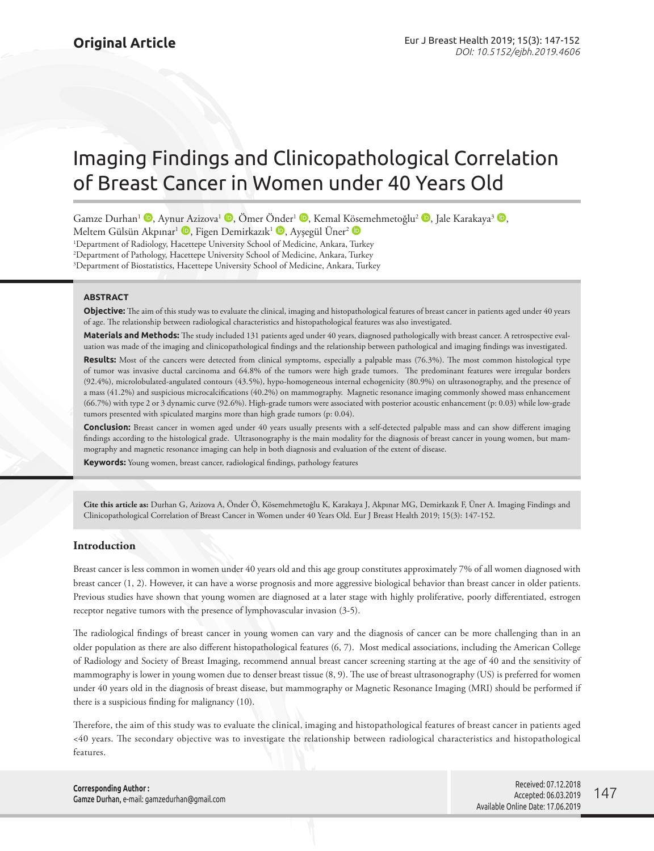# Imaging Findings and Clinicopathological Correlation of Breast Cancer in Women under 40 Years Old

Gamze Durhan<sup>1</sup> **D**[,](http://orcid.org/0000-0002-7222-7875) Aynur Azizova<sup>1</sup> **D**, Ömer [Önde](http://orcid.org/0000-0002-4792-840X)r<sup>1</sup> **D**, Kemal [Köse](http://orcid.org/0000-0002-2522-1606)mehmetoğlu<sup>2</sup> **D**, Jale Karakaya<sup>3</sup> **D**, Meltem Gülsün Akpınar<sup>ı</sup> D[,](http://orcid.org/0000-0003-1578-5624) Figen Demirkazık<sup>1</sup> D, Ayşegül Üner<sup>2</sup> D

1 Department of Radiology, Hacettepe University School of Medicine, Ankara, Turkey 2 Department of Pathology, Hacettepe University School of Medicine, Ankara, Turkey 3 Department of Biostatistics, Hacettepe University School of Medicine, Ankara, Turkey

**ABSTRACT**

**Objective:** The aim of this study was to evaluate the clinical, imaging and histopathological features of breast cancer in patients aged under 40 years of age. The relationship between radiological characteristics and histopathological features was also investigated.

**Materials and Methods:** The study included 131 patients aged under 40 years, diagnosed pathologically with breast cancer. A retrospective evaluation was made of the imaging and clinicopathological findings and the relationship between pathological and imaging findings was investigated.

**Results:** Most of the cancers were detected from clinical symptoms, especially a palpable mass (76.3%). The most common histological type of tumor was invasive ductal carcinoma and 64.8% of the tumors were high grade tumors. The predominant features were irregular borders (92.4%), microlobulated-angulated contours (43.5%), hypo-homogeneous internal echogenicity (80.9%) on ultrasonography, and the presence of a mass (41.2%) and suspicious microcalcifications (40.2%) on mammography. Magnetic resonance imaging commonly showed mass enhancement (66.7%) with type 2 or 3 dynamic curve (92.6%). High-grade tumors were associated with posterior acoustic enhancement (p: 0.03) while low-grade tumors presented with spiculated margins more than high grade tumors (p: 0.04).

**Conclusion:** Breast cancer in women aged under 40 years usually presents with a self-detected palpable mass and can show different imaging findings according to the histological grade. Ultrasonography is the main modality for the diagnosis of breast cancer in young women, but mammography and magnetic resonance imaging can help in both diagnosis and evaluation of the extent of disease.

**Keywords:** Young women, breast cancer, radiological findings, pathology features

**Cite this article as:** Durhan G, Azizova A, Önder Ö, Kösemehmetoğlu K, Karakaya J, Akpınar MG, Demirkazık F, Üner A. Imaging Findings and Clinicopathological Correlation of Breast Cancer in Women under 40 Years Old. Eur J Breast Health 2019; 15(3): 147-152.

# **Introduction**

Breast cancer is less common in women under 40 years old and this age group constitutes approximately 7% of all women diagnosed with breast cancer (1, 2). However, it can have a worse prognosis and more aggressive biological behavior than breast cancer in older patients. Previous studies have shown that young women are diagnosed at a later stage with highly proliferative, poorly differentiated, estrogen receptor negative tumors with the presence of lymphovascular invasion (3-5).

The radiological findings of breast cancer in young women can vary and the diagnosis of cancer can be more challenging than in an older population as there are also different histopathological features (6, 7). Most medical associations, including the American College of Radiology and Society of Breast Imaging, recommend annual breast cancer screening starting at the age of 40 and the sensitivity of mammography is lower in young women due to denser breast tissue (8, 9). The use of breast ultrasonography (US) is preferred for women under 40 years old in the diagnosis of breast disease, but mammography or Magnetic Resonance Imaging (MRI) should be performed if there is a suspicious finding for malignancy (10).

Therefore, the aim of this study was to evaluate the clinical, imaging and histopathological features of breast cancer in patients aged <40 years. The secondary objective was to investigate the relationship between radiological characteristics and histopathological features.

**Corresponding Author :**  Gamze Durhan, e-mail: gamzedurhan@gmail.com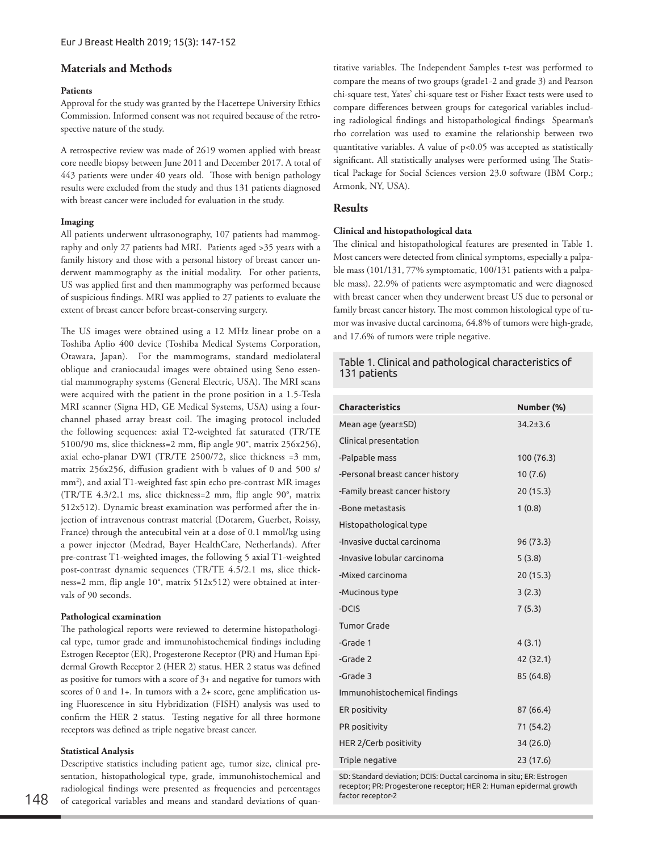# **Materials and Methods**

# **Patients**

Approval for the study was granted by the Hacettepe University Ethics Commission. Informed consent was not required because of the retrospective nature of the study.

A retrospective review was made of 2619 women applied with breast core needle biopsy between June 2011 and December 2017. A total of 443 patients were under 40 years old. Those with benign pathology results were excluded from the study and thus 131 patients diagnosed with breast cancer were included for evaluation in the study.

# **Imaging**

All patients underwent ultrasonography, 107 patients had mammography and only 27 patients had MRI. Patients aged >35 years with a family history and those with a personal history of breast cancer underwent mammography as the initial modality. For other patients, US was applied first and then mammography was performed because of suspicious findings. MRI was applied to 27 patients to evaluate the extent of breast cancer before breast-conserving surgery.

The US images were obtained using a 12 MHz linear probe on a Toshiba Aplio 400 device (Toshiba Medical Systems Corporation, Otawara, Japan). For the mammograms, standard mediolateral oblique and craniocaudal images were obtained using Seno essential mammography systems (General Electric, USA). The MRI scans were acquired with the patient in the prone position in a 1.5-Tesla MRI scanner (Signa HD, GE Medical Systems, USA) using a fourchannel phased array breast coil. The imaging protocol included the following sequences: axial T2-weighted fat saturated (TR/TE 5100/90 ms, slice thickness=2 mm, flip angle 90°, matrix 256x256), axial echo-planar DWI (TR/TE 2500/72, slice thickness =3 mm, matrix 256x256, diffusion gradient with b values of 0 and 500 s/ mm2 ), and axial T1-weighted fast spin echo pre-contrast MR images (TR/TE 4.3/2.1 ms, slice thickness=2 mm, flip angle 90°, matrix 512x512). Dynamic breast examination was performed after the injection of intravenous contrast material (Dotarem, Guerbet, Roissy, France) through the antecubital vein at a dose of 0.1 mmol/kg using a power injector (Medrad, Bayer HealthCare, Netherlands). After pre-contrast T1-weighted images, the following 5 axial T1-weighted post-contrast dynamic sequences (TR/TE 4.5/2.1 ms, slice thickness=2 mm, flip angle 10°, matrix 512x512) were obtained at intervals of 90 seconds.

## **Pathological examination**

The pathological reports were reviewed to determine histopathological type, tumor grade and immunohistochemical findings including Estrogen Receptor (ER), Progesterone Receptor (PR) and Human Epidermal Growth Receptor 2 (HER 2) status. HER 2 status was defined as positive for tumors with a score of 3+ and negative for tumors with scores of 0 and 1+. In tumors with a 2+ score, gene amplification using Fluorescence in situ Hybridization (FISH) analysis was used to confirm the HER 2 status. Testing negative for all three hormone receptors was defined as triple negative breast cancer.

# **Statistical Analysis**

Descriptive statistics including patient age, tumor size, clinical presentation, histopathological type, grade, immunohistochemical and radiological findings were presented as frequencies and percentages of categorical variables and means and standard deviations of quantitative variables. The Independent Samples t-test was performed to compare the means of two groups (grade1-2 and grade 3) and Pearson chi-square test, Yates' chi-square test or Fisher Exact tests were used to compare differences between groups for categorical variables including radiological findings and histopathological findings Spearman's rho correlation was used to examine the relationship between two quantitative variables. A value of  $p<0.05$  was accepted as statistically significant. All statistically analyses were performed using The Statistical Package for Social Sciences version 23.0 software (IBM Corp.; Armonk, NY, USA).

# **Results**

# **Clinical and histopathological data**

The clinical and histopathological features are presented in Table 1. Most cancers were detected from clinical symptoms, especially a palpable mass (101/131, 77% symptomatic, 100/131 patients with a palpable mass). 22.9% of patients were asymptomatic and were diagnosed with breast cancer when they underwent breast US due to personal or family breast cancer history. The most common histological type of tumor was invasive ductal carcinoma, 64.8% of tumors were high-grade, and 17.6% of tumors were triple negative.

# Table 1. Clinical and pathological characteristics of 131 patients

| <b>Characteristics</b>          | Number (%)     |
|---------------------------------|----------------|
| Mean age (year±SD)              | $34.2 \pm 3.6$ |
| Clinical presentation           |                |
| -Palpable mass                  | 100 (76.3)     |
| -Personal breast cancer history | 10(7.6)        |
| -Family breast cancer history   | 20 (15.3)      |
| -Bone metastasis                | 1(0.8)         |
| Histopathological type          |                |
| -Invasive ductal carcinoma      | 96 (73.3)      |
| -Invasive lobular carcinoma     | 5(3.8)         |
| -Mixed carcinoma                | 20 (15.3)      |
| -Mucinous type                  | 3(2.3)         |
| -DCIS                           | 7(5.3)         |
| <b>Tumor Grade</b>              |                |
| -Grade 1                        | 4(3.1)         |
| -Grade 2                        | 42 (32.1)      |
| -Grade 3                        | 85 (64.8)      |
| Immunohistochemical findings    |                |
| ER positivity                   | 87 (66.4)      |
| PR positivity                   | 71 (54.2)      |
| HER 2/Cerb positivity           | 34 (26.0)      |
| Triple negative                 | 23 (17.6)      |

SD: Standard deviation; DCIS: Ductal carcinoma in situ; ER: Estrogen receptor; PR: Progesterone receptor; HER 2: Human epidermal growth factor receptor-2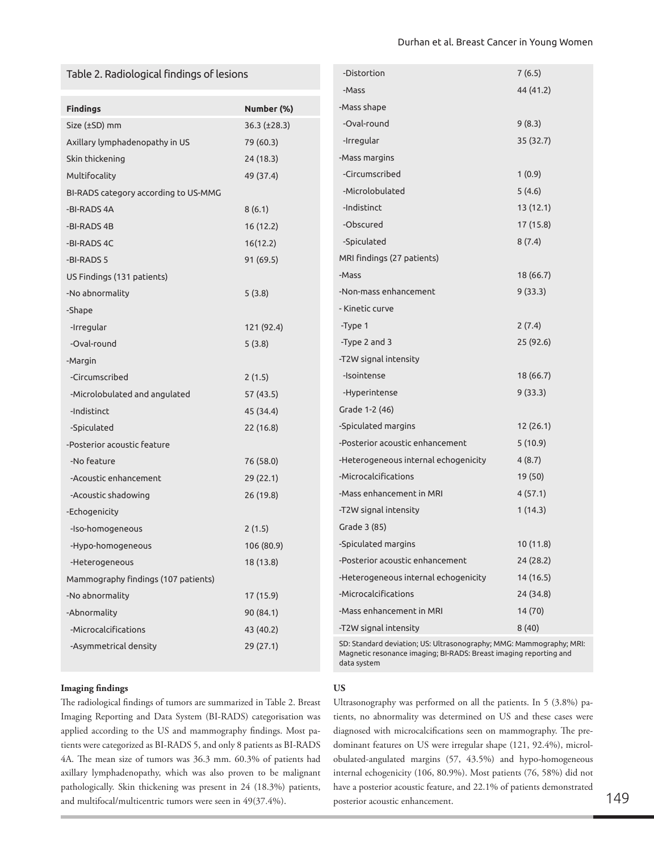# Table 2. Radiological findings of lesions

| Table 2. Radiological findings of lesions |                     | -Distortion                                                                                                                                             | 7(6.5)    |
|-------------------------------------------|---------------------|---------------------------------------------------------------------------------------------------------------------------------------------------------|-----------|
|                                           |                     | -Mass                                                                                                                                                   | 44 (41.2) |
| <b>Findings</b>                           | Number (%)          | -Mass shape                                                                                                                                             |           |
| Size (±SD) mm                             | $36.3 \ (\pm 28.3)$ | -Oval-round                                                                                                                                             | 9(8.3)    |
| Axillary lymphadenopathy in US            | 79 (60.3)           | -Irregular                                                                                                                                              | 35 (32.7) |
| Skin thickening                           | 24(18.3)            | -Mass margins                                                                                                                                           |           |
| Multifocality                             | 49 (37.4)           | -Circumscribed                                                                                                                                          | 1(0.9)    |
| BI-RADS category according to US-MMG      |                     | -Microlobulated                                                                                                                                         | 5(4.6)    |
| -BI-RADS 4A                               | 8(6.1)              | -Indistinct                                                                                                                                             | 13(12.1)  |
| -BI-RADS 4B                               | 16(12.2)            | -Obscured                                                                                                                                               | 17 (15.8) |
| -BI-RADS 4C                               | 16(12.2)            | -Spiculated                                                                                                                                             | 8(7.4)    |
| -BI-RADS 5                                | 91 (69.5)           | MRI findings (27 patients)                                                                                                                              |           |
| US Findings (131 patients)                |                     | -Mass                                                                                                                                                   | 18(66.7)  |
| -No abnormality                           | 5(3.8)              | -Non-mass enhancement                                                                                                                                   | 9(33.3)   |
| -Shape                                    |                     | - Kinetic curve                                                                                                                                         |           |
| -Irregular                                | 121 (92.4)          | -Type 1                                                                                                                                                 | 2(7.4)    |
| -Oval-round                               | 5(3.8)              | -Type 2 and 3                                                                                                                                           | 25(92.6)  |
| -Margin                                   |                     | -T2W signal intensity                                                                                                                                   |           |
| -Circumscribed                            | 2(1.5)              | -Isointense                                                                                                                                             | 18(66.7)  |
| -Microlobulated and angulated             | 57 (43.5)           | -Hyperintense                                                                                                                                           | 9(33.3)   |
| -Indistinct                               | 45 (34.4)           | Grade 1-2 (46)                                                                                                                                          |           |
| -Spiculated                               | 22 (16.8)           | -Spiculated margins                                                                                                                                     | 12(26.1)  |
| -Posterior acoustic feature               |                     | -Posterior acoustic enhancement                                                                                                                         | 5(10.9)   |
| -No feature                               | 76 (58.0)           | -Heterogeneous internal echogenicity                                                                                                                    | 4(8.7)    |
| -Acoustic enhancement                     | 29(22.1)            | -Microcalcifications                                                                                                                                    | 19 (50)   |
| -Acoustic shadowing                       | 26(19.8)            | -Mass enhancement in MRI                                                                                                                                | 4(57.1)   |
| -Echogenicity                             |                     | -T2W signal intensity                                                                                                                                   | 1(14.3)   |
| -Iso-homogeneous                          | 2(1.5)              | Grade 3 (85)                                                                                                                                            |           |
| -Hypo-homogeneous                         | 106 (80.9)          | -Spiculated margins                                                                                                                                     | 10(11.8)  |
| -Heterogeneous                            | 18 (13.8)           | -Posterior acoustic enhancement                                                                                                                         | 24 (28.2) |
| Mammography findings (107 patients)       |                     | -Heterogeneous internal echogenicity                                                                                                                    | 14(16.5)  |
| -No abnormality                           | 17(15.9)            | -Microcalcifications                                                                                                                                    | 24 (34.8) |
| -Abnormality                              | 90 (84.1)           | -Mass enhancement in MRI                                                                                                                                | 14 (70)   |
| -Microcalcifications                      | 43 (40.2)           | -T2W signal intensity                                                                                                                                   | 8(40)     |
| -Asymmetrical density                     | 29 (27.1)           | SD: Standard deviation; US: Ultrasonography; MMG: Mammography; MRI:<br>Magnetic resonance imaging; BI-RADS: Breast imaging reporting and<br>data system |           |

# **Imaging findings**

The radiological findings of tumors are summarized in Table 2. Breast Imaging Reporting and Data System (BI-RADS) categorisation was applied according to the US and mammography findings. Most patients were categorized as BI-RADS 5, and only 8 patients as BI-RADS 4A. The mean size of tumors was 36.3 mm. 60.3% of patients had axillary lymphadenopathy, which was also proven to be malignant pathologically. Skin thickening was present in 24 (18.3%) patients, and multifocal/multicentric tumors were seen in 49(37.4%).

## **US**

Ultrasonography was performed on all the patients. In 5 (3.8%) patients, no abnormality was determined on US and these cases were diagnosed with microcalcifications seen on mammography. The predominant features on US were irregular shape (121, 92.4%), microlobulated-angulated margins (57, 43.5%) and hypo-homogeneous internal echogenicity (106, 80.9%). Most patients (76, 58%) did not have a posterior acoustic feature, and 22.1% of patients demonstrated posterior acoustic enhancement. 149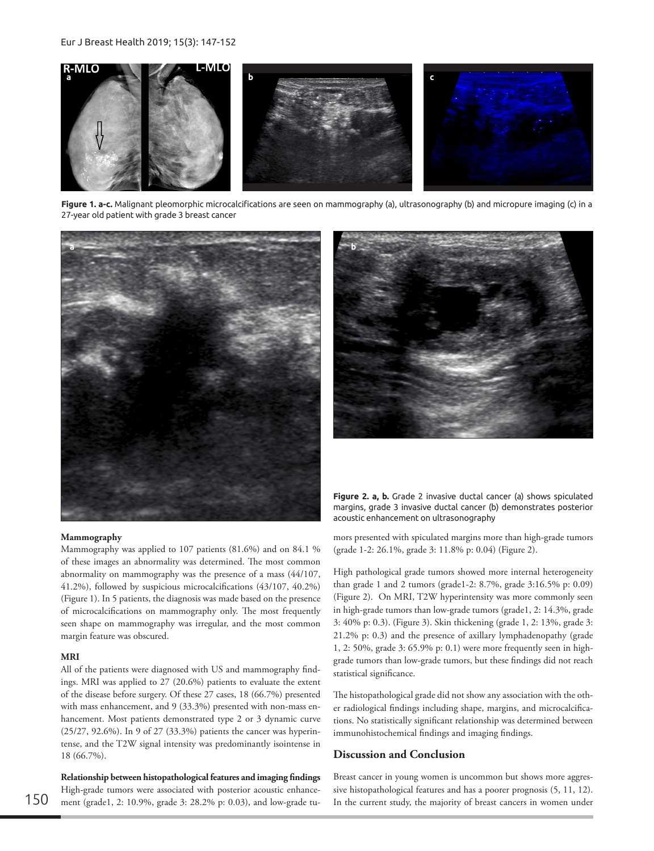

**Figure 1. a-c.** Malignant pleomorphic microcalcifications are seen on mammography (a), ultrasonography (b) and micropure imaging (c) in a 27-year old patient with grade 3 breast cancer



#### **Mammography**

Mammography was applied to 107 patients (81.6%) and on 84.1 % of these images an abnormality was determined. The most common abnormality on mammography was the presence of a mass (44/107, 41.2%), followed by suspicious microcalcifications (43/107, 40.2%) (Figure 1). In 5 patients, the diagnosis was made based on the presence of microcalcifications on mammography only. The most frequently seen shape on mammography was irregular, and the most common margin feature was obscured.

### **MRI**

All of the patients were diagnosed with US and mammography findings. MRI was applied to 27 (20.6%) patients to evaluate the extent of the disease before surgery. Of these 27 cases, 18 (66.7%) presented with mass enhancement, and 9 (33.3%) presented with non-mass enhancement. Most patients demonstrated type 2 or 3 dynamic curve (25/27, 92.6%). In 9 of 27 (33.3%) patients the cancer was hyperintense, and the T2W signal intensity was predominantly isointense in 18 (66.7%).

**Relationship between histopathological features and imaging findings** High-grade tumors were associated with posterior acoustic enhance-150 ment (grade1, 2: 10.9%, grade 3: 28.2% p: 0.03), and low-grade tu-<br>In the current study, the majority of breast cancers in women under



**Figure 2. a, b.** Grade 2 invasive ductal cancer (a) shows spiculated margins, grade 3 invasive ductal cancer (b) demonstrates posterior acoustic enhancement on ultrasonography

mors presented with spiculated margins more than high-grade tumors (grade 1-2: 26.1%, grade 3: 11.8% p: 0.04) (Figure 2).

High pathological grade tumors showed more internal heterogeneity than grade 1 and 2 tumors (grade1-2: 8.7%, grade 3:16.5% p: 0.09) (Figure 2). On MRI, T2W hyperintensity was more commonly seen in high-grade tumors than low-grade tumors (grade1, 2: 14.3%, grade 3: 40% p: 0.3). (Figure 3). Skin thickening (grade 1, 2: 13%, grade 3: 21.2% p: 0.3) and the presence of axillary lymphadenopathy (grade 1, 2: 50%, grade 3: 65.9% p: 0.1) were more frequently seen in highgrade tumors than low-grade tumors, but these findings did not reach statistical significance.

The histopathological grade did not show any association with the other radiological findings including shape, margins, and microcalcifications. No statistically significant relationship was determined between immunohistochemical findings and imaging findings.

# **Discussion and Conclusion**

Breast cancer in young women is uncommon but shows more aggressive histopathological features and has a poorer prognosis (5, 11, 12).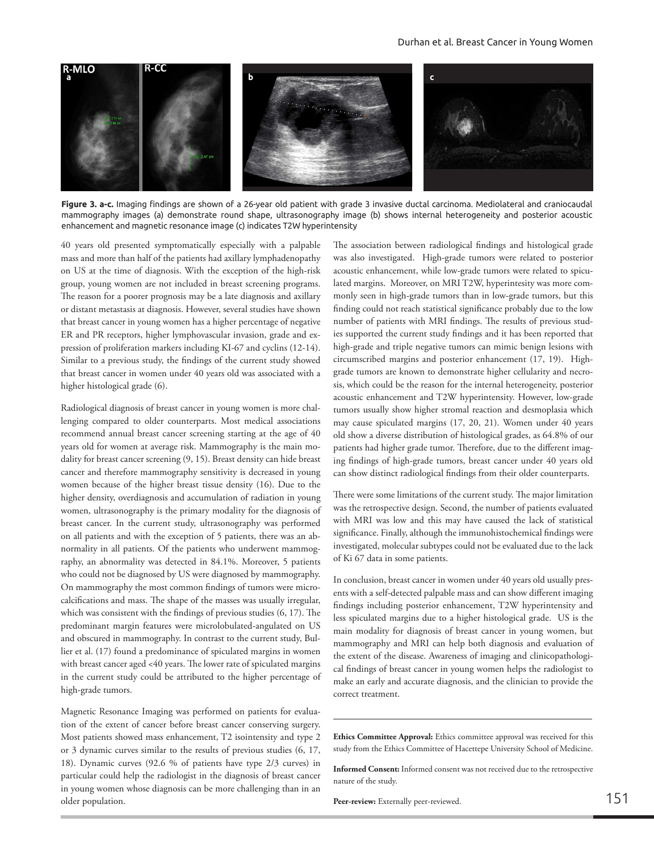

**Figure 3. a-c.** Imaging findings are shown of a 26-year old patient with grade 3 invasive ductal carcinoma. Mediolateral and craniocaudal mammography images (a) demonstrate round shape, ultrasonography image (b) shows internal heterogeneity and posterior acoustic enhancement and magnetic resonance image (c) indicates T2W hyperintensity

40 years old presented symptomatically especially with a palpable mass and more than half of the patients had axillary lymphadenopathy on US at the time of diagnosis. With the exception of the high-risk group, young women are not included in breast screening programs. The reason for a poorer prognosis may be a late diagnosis and axillary or distant metastasis at diagnosis. However, several studies have shown that breast cancer in young women has a higher percentage of negative ER and PR receptors, higher lymphovascular invasion, grade and expression of proliferation markers including KI-67 and cyclins (12-14). Similar to a previous study, the findings of the current study showed that breast cancer in women under 40 years old was associated with a higher histological grade (6).

Radiological diagnosis of breast cancer in young women is more challenging compared to older counterparts. Most medical associations recommend annual breast cancer screening starting at the age of 40 years old for women at average risk. Mammography is the main modality for breast cancer screening (9, 15). Breast density can hide breast cancer and therefore mammography sensitivity is decreased in young women because of the higher breast tissue density (16). Due to the higher density, overdiagnosis and accumulation of radiation in young women, ultrasonography is the primary modality for the diagnosis of breast cancer. In the current study, ultrasonography was performed on all patients and with the exception of 5 patients, there was an abnormality in all patients. Of the patients who underwent mammography, an abnormality was detected in 84.1%. Moreover, 5 patients who could not be diagnosed by US were diagnosed by mammography. On mammography the most common findings of tumors were microcalcifications and mass. The shape of the masses was usually irregular, which was consistent with the findings of previous studies (6, 17). The predominant margin features were microlobulated-angulated on US and obscured in mammography. In contrast to the current study, Bullier et al. (17) found a predominance of spiculated margins in women with breast cancer aged <40 years. The lower rate of spiculated margins in the current study could be attributed to the higher percentage of high-grade tumors.

Magnetic Resonance Imaging was performed on patients for evaluation of the extent of cancer before breast cancer conserving surgery. Most patients showed mass enhancement, T2 isointensity and type 2 or 3 dynamic curves similar to the results of previous studies (6, 17, 18). Dynamic curves (92.6 % of patients have type 2/3 curves) in particular could help the radiologist in the diagnosis of breast cancer in young women whose diagnosis can be more challenging than in an older population.

The association between radiological findings and histological grade was also investigated. High-grade tumors were related to posterior acoustic enhancement, while low-grade tumors were related to spiculated margins. Moreover, on MRI T2W, hyperintesity was more commonly seen in high-grade tumors than in low-grade tumors, but this finding could not reach statistical significance probably due to the low number of patients with MRI findings. The results of previous studies supported the current study findings and it has been reported that high-grade and triple negative tumors can mimic benign lesions with circumscribed margins and posterior enhancement (17, 19). Highgrade tumors are known to demonstrate higher cellularity and necrosis, which could be the reason for the internal heterogeneity, posterior acoustic enhancement and T2W hyperintensity. However, low-grade tumors usually show higher stromal reaction and desmoplasia which may cause spiculated margins (17, 20, 21). Women under 40 years old show a diverse distribution of histological grades, as 64.8% of our patients had higher grade tumor. Therefore, due to the different imaging findings of high-grade tumors, breast cancer under 40 years old can show distinct radiological findings from their older counterparts.

There were some limitations of the current study. The major limitation was the retrospective design. Second, the number of patients evaluated with MRI was low and this may have caused the lack of statistical significance. Finally, although the immunohistochemical findings were investigated, molecular subtypes could not be evaluated due to the lack of Ki 67 data in some patients.

In conclusion, breast cancer in women under 40 years old usually presents with a self-detected palpable mass and can show different imaging findings including posterior enhancement, T2W hyperintensity and less spiculated margins due to a higher histological grade. US is the main modality for diagnosis of breast cancer in young women, but mammography and MRI can help both diagnosis and evaluation of the extent of the disease. Awareness of imaging and clinicopathological findings of breast cancer in young women helps the radiologist to make an early and accurate diagnosis, and the clinician to provide the correct treatment.

**Ethics Committee Approval:** Ethics committee approval was received for this study from the Ethics Committee of Hacettepe University School of Medicine.

**Informed Consent:** Informed consent was not received due to the retrospective nature of the study.

**Peer-review:** Externally peer-reviewed. 151